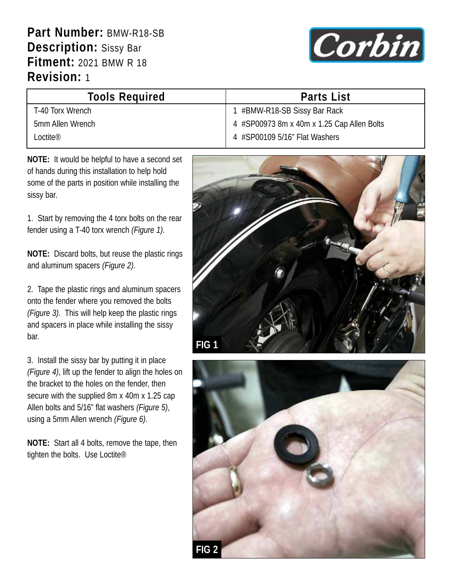**Part Number:** BMW-R18-SB **Description:** Sissy Bar **Fitment:** 2021 BMW R 18 **Revision:** 1



| <b>Tools Required</b> | <b>Parts List</b>                          |
|-----------------------|--------------------------------------------|
| T-40 Torx Wrench      | 1 #BMW-R18-SB Sissy Bar Rack               |
| 5mm Allen Wrench      | 4 #SP00973 8m x 40m x 1.25 Cap Allen Bolts |
| l octite®             | 4 #SP00109 5/16" Flat Washers              |

**NOTE:** It would be helpful to have a second set of hands during this installation to help hold some of the parts in position while installing the sissy bar.

1. Start by removing the 4 torx bolts on the rear fender using a T-40 torx wrench *(Figure 1)*.

**NOTE:** Discard bolts, but reuse the plastic rings and aluminum spacers *(Figure 2)*.

2. Tape the plastic rings and aluminum spacers onto the fender where you removed the bolts *(Figure 3)*. This will help keep the plastic rings and spacers in place while installing the sissy bar.

3. Install the sissy bar by putting it in place *(Figure 4)*, lift up the fender to align the holes on the bracket to the holes on the fender, then secure with the supplied 8m x 40m x 1.25 cap Allen bolts and 5/16" flat washers *(Figure 5)*, using a 5mm Allen wrench *(Figure 6)*.

**NOTE:** Start all 4 bolts, remove the tape, then tighten the bolts. Use Loctite®